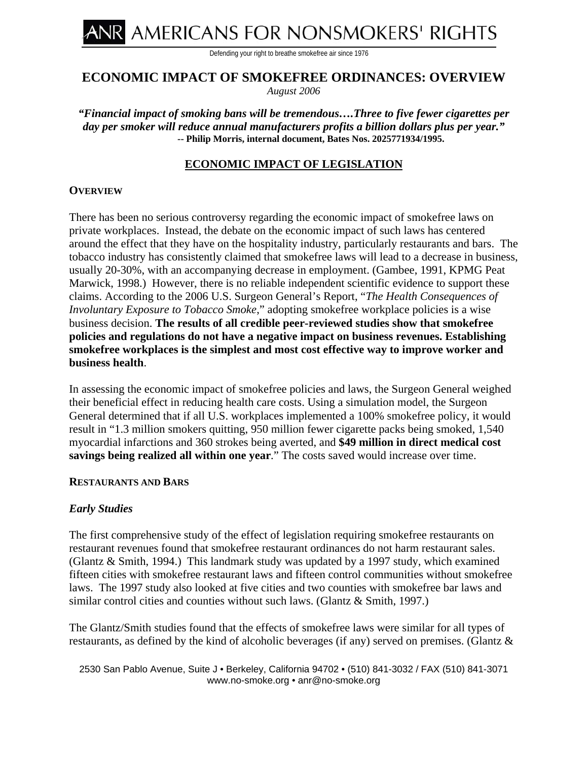NR AMERICANS FOR NONSMOKERS' RIGHTS

Defending your right to breathe smokefree air since 1976

# **ECONOMIC IMPACT OF SMOKEFREE ORDINANCES: OVERVIEW**

*August 2006* 

*"Financial impact of smoking bans will be tremendous….Three to five fewer cigarettes per day per smoker will reduce annual manufacturers profits a billion dollars plus per year."*  **-- Philip Morris, internal document, Bates Nos. 2025771934/1995.** 

# **ECONOMIC IMPACT OF LEGISLATION**

## **OVERVIEW**

There has been no serious controversy regarding the economic impact of smokefree laws on private workplaces. Instead, the debate on the economic impact of such laws has centered around the effect that they have on the hospitality industry, particularly restaurants and bars. The tobacco industry has consistently claimed that smokefree laws will lead to a decrease in business, usually 20-30%, with an accompanying decrease in employment. (Gambee, 1991, KPMG Peat Marwick, 1998.) However, there is no reliable independent scientific evidence to support these claims. According to the 2006 U.S. Surgeon General's Report, "*The Health Consequences of Involuntary Exposure to Tobacco Smoke*," adopting smokefree workplace policies is a wise business decision. **The results of all credible peer-reviewed studies show that smokefree policies and regulations do not have a negative impact on business revenues. Establishing smokefree workplaces is the simplest and most cost effective way to improve worker and business health**.

In assessing the economic impact of smokefree policies and laws, the Surgeon General weighed their beneficial effect in reducing health care costs. Using a simulation model, the Surgeon General determined that if all U.S. workplaces implemented a 100% smokefree policy, it would result in "1.3 million smokers quitting, 950 million fewer cigarette packs being smoked, 1,540 myocardial infarctions and 360 strokes being averted, and **\$49 million in direct medical cost savings being realized all within one year**." The costs saved would increase over time.

## **RESTAURANTS AND BARS**

## *Early Studies*

The first comprehensive study of the effect of legislation requiring smokefree restaurants on restaurant revenues found that smokefree restaurant ordinances do not harm restaurant sales. (Glantz & Smith, 1994.) This landmark study was updated by a 1997 study, which examined fifteen cities with smokefree restaurant laws and fifteen control communities without smokefree laws. The 1997 study also looked at five cities and two counties with smokefree bar laws and similar control cities and counties without such laws. (Glantz & Smith, 1997.)

The Glantz/Smith studies found that the effects of smokefree laws were similar for all types of restaurants, as defined by the kind of alcoholic beverages (if any) served on premises. (Glantz &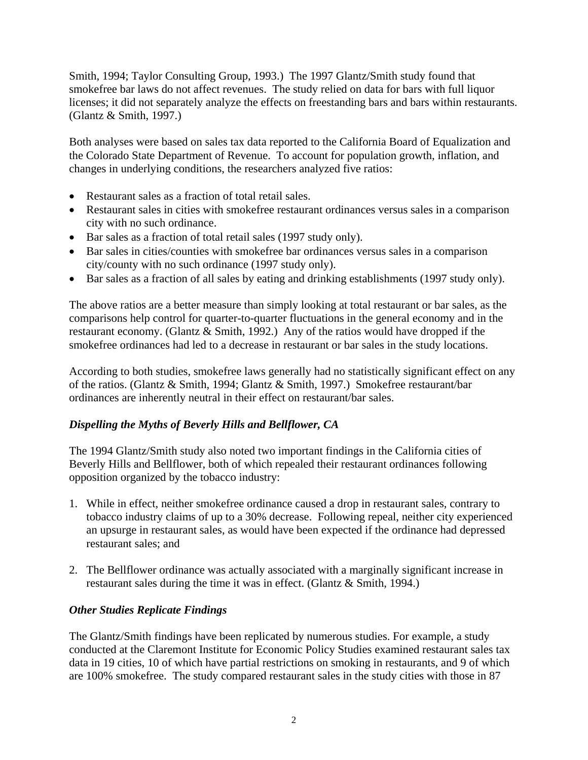Smith, 1994; Taylor Consulting Group, 1993.) The 1997 Glantz/Smith study found that smokefree bar laws do not affect revenues. The study relied on data for bars with full liquor licenses; it did not separately analyze the effects on freestanding bars and bars within restaurants. (Glantz & Smith, 1997.)

Both analyses were based on sales tax data reported to the California Board of Equalization and the Colorado State Department of Revenue. To account for population growth, inflation, and changes in underlying conditions, the researchers analyzed five ratios:

- Restaurant sales as a fraction of total retail sales.
- Restaurant sales in cities with smokefree restaurant ordinances versus sales in a comparison city with no such ordinance.
- Bar sales as a fraction of total retail sales (1997 study only).
- Bar sales in cities/counties with smokefree bar ordinances versus sales in a comparison city/county with no such ordinance (1997 study only).
- Bar sales as a fraction of all sales by eating and drinking establishments (1997 study only).

The above ratios are a better measure than simply looking at total restaurant or bar sales, as the comparisons help control for quarter-to-quarter fluctuations in the general economy and in the restaurant economy. (Glantz & Smith, 1992.) Any of the ratios would have dropped if the smokefree ordinances had led to a decrease in restaurant or bar sales in the study locations.

According to both studies, smokefree laws generally had no statistically significant effect on any of the ratios. (Glantz & Smith, 1994; Glantz & Smith, 1997.) Smokefree restaurant/bar ordinances are inherently neutral in their effect on restaurant/bar sales.

# *Dispelling the Myths of Beverly Hills and Bellflower, CA*

The 1994 Glantz/Smith study also noted two important findings in the California cities of Beverly Hills and Bellflower, both of which repealed their restaurant ordinances following opposition organized by the tobacco industry:

- 1. While in effect, neither smokefree ordinance caused a drop in restaurant sales, contrary to tobacco industry claims of up to a 30% decrease. Following repeal, neither city experienced an upsurge in restaurant sales, as would have been expected if the ordinance had depressed restaurant sales; and
- 2. The Bellflower ordinance was actually associated with a marginally significant increase in restaurant sales during the time it was in effect. (Glantz & Smith, 1994.)

## *Other Studies Replicate Findings*

The Glantz/Smith findings have been replicated by numerous studies. For example, a study conducted at the Claremont Institute for Economic Policy Studies examined restaurant sales tax data in 19 cities, 10 of which have partial restrictions on smoking in restaurants, and 9 of which are 100% smokefree. The study compared restaurant sales in the study cities with those in 87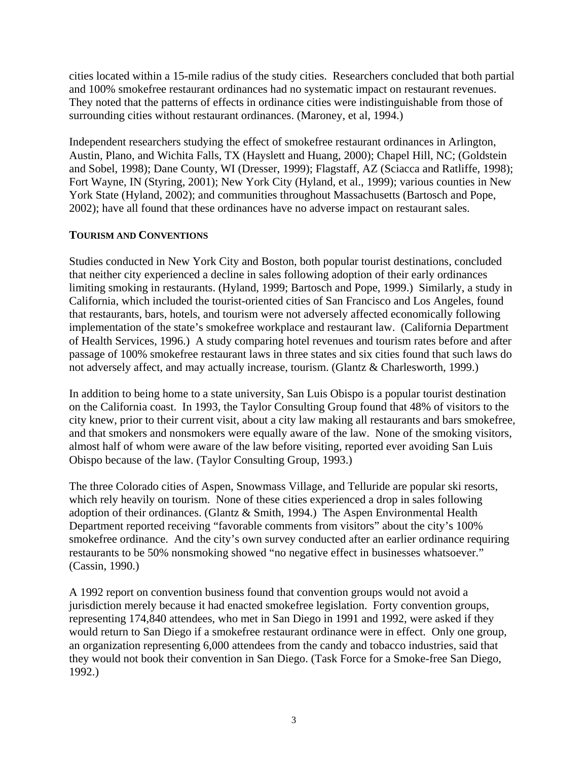cities located within a 15-mile radius of the study cities. Researchers concluded that both partial and 100% smokefree restaurant ordinances had no systematic impact on restaurant revenues. They noted that the patterns of effects in ordinance cities were indistinguishable from those of surrounding cities without restaurant ordinances. (Maroney, et al, 1994.)

Independent researchers studying the effect of smokefree restaurant ordinances in Arlington, Austin, Plano, and Wichita Falls, TX (Hayslett and Huang, 2000); Chapel Hill, NC; (Goldstein and Sobel, 1998); Dane County, WI (Dresser, 1999); Flagstaff, AZ (Sciacca and Ratliffe, 1998); Fort Wayne, IN (Styring, 2001); New York City (Hyland, et al., 1999); various counties in New York State (Hyland, 2002); and communities throughout Massachusetts (Bartosch and Pope, 2002); have all found that these ordinances have no adverse impact on restaurant sales.

## **TOURISM AND CONVENTIONS**

Studies conducted in New York City and Boston, both popular tourist destinations, concluded that neither city experienced a decline in sales following adoption of their early ordinances limiting smoking in restaurants. (Hyland, 1999; Bartosch and Pope, 1999.) Similarly, a study in California, which included the tourist-oriented cities of San Francisco and Los Angeles, found that restaurants, bars, hotels, and tourism were not adversely affected economically following implementation of the state's smokefree workplace and restaurant law. (California Department of Health Services, 1996.) A study comparing hotel revenues and tourism rates before and after passage of 100% smokefree restaurant laws in three states and six cities found that such laws do not adversely affect, and may actually increase, tourism. (Glantz & Charlesworth, 1999.)

In addition to being home to a state university, San Luis Obispo is a popular tourist destination on the California coast. In 1993, the Taylor Consulting Group found that 48% of visitors to the city knew, prior to their current visit, about a city law making all restaurants and bars smokefree, and that smokers and nonsmokers were equally aware of the law. None of the smoking visitors, almost half of whom were aware of the law before visiting, reported ever avoiding San Luis Obispo because of the law. (Taylor Consulting Group, 1993.)

The three Colorado cities of Aspen, Snowmass Village, and Telluride are popular ski resorts, which rely heavily on tourism. None of these cities experienced a drop in sales following adoption of their ordinances. (Glantz & Smith, 1994.) The Aspen Environmental Health Department reported receiving "favorable comments from visitors" about the city's 100% smokefree ordinance. And the city's own survey conducted after an earlier ordinance requiring restaurants to be 50% nonsmoking showed "no negative effect in businesses whatsoever." (Cassin, 1990.)

A 1992 report on convention business found that convention groups would not avoid a jurisdiction merely because it had enacted smokefree legislation. Forty convention groups, representing 174,840 attendees, who met in San Diego in 1991 and 1992, were asked if they would return to San Diego if a smokefree restaurant ordinance were in effect. Only one group, an organization representing 6,000 attendees from the candy and tobacco industries, said that they would not book their convention in San Diego. (Task Force for a Smoke-free San Diego, 1992.)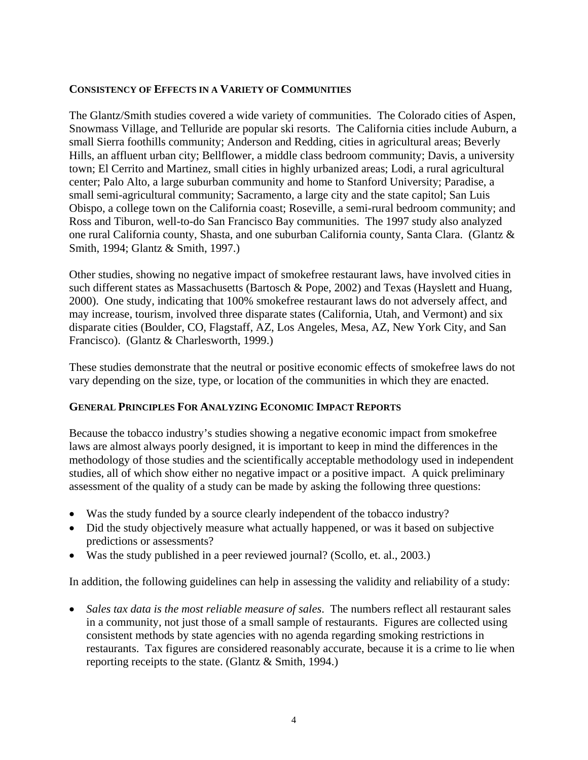## **CONSISTENCY OF EFFECTS IN A VARIETY OF COMMUNITIES**

The Glantz/Smith studies covered a wide variety of communities. The Colorado cities of Aspen, Snowmass Village, and Telluride are popular ski resorts. The California cities include Auburn, a small Sierra foothills community; Anderson and Redding, cities in agricultural areas; Beverly Hills, an affluent urban city; Bellflower, a middle class bedroom community; Davis, a university town; El Cerrito and Martinez, small cities in highly urbanized areas; Lodi, a rural agricultural center; Palo Alto, a large suburban community and home to Stanford University; Paradise, a small semi-agricultural community; Sacramento, a large city and the state capitol; San Luis Obispo, a college town on the California coast; Roseville, a semi-rural bedroom community; and Ross and Tiburon, well-to-do San Francisco Bay communities. The 1997 study also analyzed one rural California county, Shasta, and one suburban California county, Santa Clara. (Glantz & Smith, 1994; Glantz & Smith, 1997.)

Other studies, showing no negative impact of smokefree restaurant laws, have involved cities in such different states as Massachusetts (Bartosch & Pope, 2002) and Texas (Hayslett and Huang, 2000). One study, indicating that 100% smokefree restaurant laws do not adversely affect, and may increase, tourism, involved three disparate states (California, Utah, and Vermont) and six disparate cities (Boulder, CO, Flagstaff, AZ, Los Angeles, Mesa, AZ, New York City, and San Francisco). (Glantz & Charlesworth, 1999.)

These studies demonstrate that the neutral or positive economic effects of smokefree laws do not vary depending on the size, type, or location of the communities in which they are enacted.

# **GENERAL PRINCIPLES FOR ANALYZING ECONOMIC IMPACT REPORTS**

Because the tobacco industry's studies showing a negative economic impact from smokefree laws are almost always poorly designed, it is important to keep in mind the differences in the methodology of those studies and the scientifically acceptable methodology used in independent studies, all of which show either no negative impact or a positive impact. A quick preliminary assessment of the quality of a study can be made by asking the following three questions:

- Was the study funded by a source clearly independent of the tobacco industry?
- Did the study objectively measure what actually happened, or was it based on subjective predictions or assessments?
- Was the study published in a peer reviewed journal? (Scollo, et. al., 2003.)

In addition, the following guidelines can help in assessing the validity and reliability of a study:

• *Sales tax data is the most reliable measure of sales*. The numbers reflect all restaurant sales in a community, not just those of a small sample of restaurants. Figures are collected using consistent methods by state agencies with no agenda regarding smoking restrictions in restaurants. Tax figures are considered reasonably accurate, because it is a crime to lie when reporting receipts to the state. (Glantz & Smith, 1994.)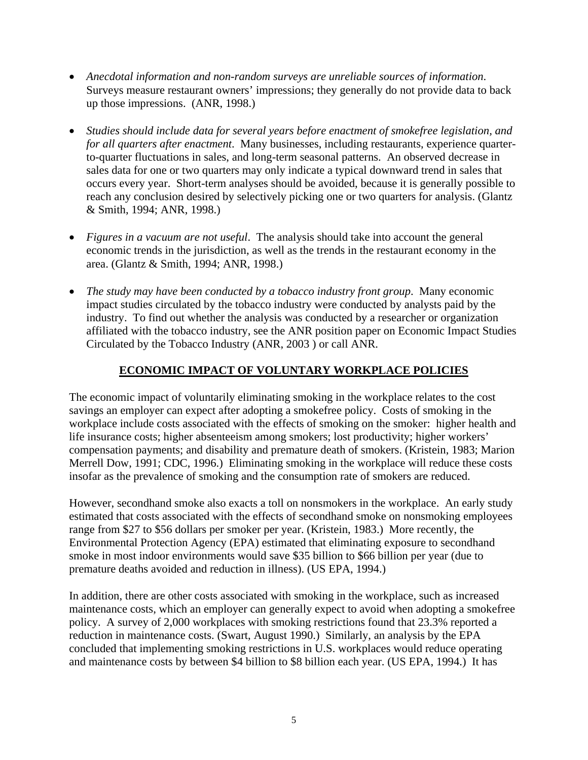- *Anecdotal information and non-random surveys are unreliable sources of information*. Surveys measure restaurant owners' impressions; they generally do not provide data to back up those impressions. (ANR, 1998.)
- *Studies should include data for several years before enactment of smokefree legislation, and for all quarters after enactment*. Many businesses, including restaurants, experience quarterto-quarter fluctuations in sales, and long-term seasonal patterns. An observed decrease in sales data for one or two quarters may only indicate a typical downward trend in sales that occurs every year. Short-term analyses should be avoided, because it is generally possible to reach any conclusion desired by selectively picking one or two quarters for analysis. (Glantz & Smith, 1994; ANR, 1998.)
- *Figures in a vacuum are not useful*. The analysis should take into account the general economic trends in the jurisdiction, as well as the trends in the restaurant economy in the area. (Glantz & Smith, 1994; ANR, 1998.)
- *The study may have been conducted by a tobacco industry front group*. Many economic impact studies circulated by the tobacco industry were conducted by analysts paid by the industry. To find out whether the analysis was conducted by a researcher or organization affiliated with the tobacco industry, see the ANR position paper on Economic Impact Studies Circulated by the Tobacco Industry (ANR, 2003 ) or call ANR.

# **ECONOMIC IMPACT OF VOLUNTARY WORKPLACE POLICIES**

The economic impact of voluntarily eliminating smoking in the workplace relates to the cost savings an employer can expect after adopting a smokefree policy. Costs of smoking in the workplace include costs associated with the effects of smoking on the smoker: higher health and life insurance costs; higher absenteeism among smokers; lost productivity; higher workers' compensation payments; and disability and premature death of smokers. (Kristein, 1983; Marion Merrell Dow, 1991; CDC, 1996.) Eliminating smoking in the workplace will reduce these costs insofar as the prevalence of smoking and the consumption rate of smokers are reduced.

However, secondhand smoke also exacts a toll on nonsmokers in the workplace. An early study estimated that costs associated with the effects of secondhand smoke on nonsmoking employees range from \$27 to \$56 dollars per smoker per year. (Kristein, 1983.) More recently, the Environmental Protection Agency (EPA) estimated that eliminating exposure to secondhand smoke in most indoor environments would save \$35 billion to \$66 billion per year (due to premature deaths avoided and reduction in illness). (US EPA, 1994.)

In addition, there are other costs associated with smoking in the workplace, such as increased maintenance costs, which an employer can generally expect to avoid when adopting a smokefree policy. A survey of 2,000 workplaces with smoking restrictions found that 23.3% reported a reduction in maintenance costs. (Swart, August 1990.) Similarly, an analysis by the EPA concluded that implementing smoking restrictions in U.S. workplaces would reduce operating and maintenance costs by between \$4 billion to \$8 billion each year. (US EPA, 1994.) It has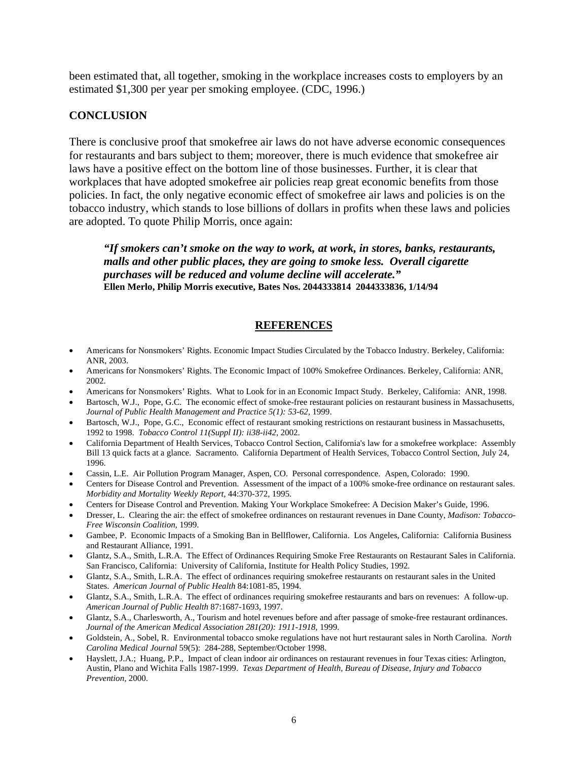been estimated that, all together, smoking in the workplace increases costs to employers by an estimated \$1,300 per year per smoking employee. (CDC, 1996.)

#### **CONCLUSION**

There is conclusive proof that smokefree air laws do not have adverse economic consequences for restaurants and bars subject to them; moreover, there is much evidence that smokefree air laws have a positive effect on the bottom line of those businesses. Further, it is clear that workplaces that have adopted smokefree air policies reap great economic benefits from those policies. In fact, the only negative economic effect of smokefree air laws and policies is on the tobacco industry, which stands to lose billions of dollars in profits when these laws and policies are adopted. To quote Philip Morris, once again:

*"If smokers can't smoke on the way to work, at work, in stores, banks, restaurants, malls and other public places, they are going to smoke less. Overall cigarette purchases will be reduced and volume decline will accelerate."* **Ellen Merlo, Philip Morris executive, Bates Nos. 2044333814 2044333836, 1/14/94** 

## **REFERENCES**

- Americans for Nonsmokers' Rights. Economic Impact Studies Circulated by the Tobacco Industry. Berkeley, California: ANR, 2003.
- Americans for Nonsmokers' Rights. The Economic Impact of 100% Smokefree Ordinances. Berkeley, California: ANR, 2002.
- Americans for Nonsmokers' Rights. What to Look for in an Economic Impact Study. Berkeley, California: ANR, 1998.
- Bartosch, W.J., Pope, G.C. The economic effect of smoke-free restaurant policies on restaurant business in Massachusetts, Journal of Public Health Management and Practice 5(1): 53-62, 1999.
- Bartosch, W.J., Pope, G.C., Economic effect of restaurant smoking restrictions on restaurant business in Massachusetts, 1992 to 1998. *Tobacco Control 11(Suppl II): ii38-ii42,* 2002.
- California Department of Health Services, Tobacco Control Section, California's law for a smokefree workplace: Assembly Bill 13 quick facts at a glance. Sacramento. California Department of Health Services, Tobacco Control Section, July 24, 1996.
- Cassin, L.E. Air Pollution Program Manager, Aspen, CO. Personal correspondence. Aspen, Colorado: 1990.
- Centers for Disease Control and Prevention. Assessment of the impact of a 100% smoke-free ordinance on restaurant sales. *Morbidity and Mortality Weekly Report*, 44:370-372, 1995.
- Centers for Disease Control and Prevention. Making Your Workplace Smokefree: A Decision Maker's Guide, 1996.
- Dresser, L. Clearing the air: the effect of smokefree ordinances on restaurant revenues in Dane County, *Madison: Tobacco-Free Wisconsin Coalition,* 1999.
- Gambee, P. Economic Impacts of a Smoking Ban in Bellflower, California. Los Angeles, California: California Business and Restaurant Alliance, 1991.
- Glantz, S.A., Smith, L.R.A. The Effect of Ordinances Requiring Smoke Free Restaurants on Restaurant Sales in California. San Francisco, California: University of California, Institute for Health Policy Studies, 1992.
- Glantz, S.A., Smith, L.R.A. The effect of ordinances requiring smokefree restaurants on restaurant sales in the United States. *American Journal of Public Health* 84:1081-85, 1994.
- Glantz, S.A., Smith, L.R.A. The effect of ordinances requiring smokefree restaurants and bars on revenues: A follow-up. *American Journal of Public Health* 87:1687-1693, 1997.
- Glantz, S.A., Charlesworth, A., Tourism and hotel revenues before and after passage of smoke-free restaurant ordinances. Journal of the American Medical Association 281(20): 1911-1918, 1999.
- Goldstein, A., Sobel, R. Environmental tobacco smoke regulations have not hurt restaurant sales in North Carolina. *North Carolina Medical Journal* 59(5): 284-288, September/October 1998.
- Hayslett, J.A.; Huang, P.P., Impact of clean indoor air ordinances on restaurant revenues in four Texas cities: Arlington, Austin, Plano and Wichita Falls 1987-1999. *Texas Department of Health, Bureau of Disease, Injury and Tobacco Prevention,* 2000.